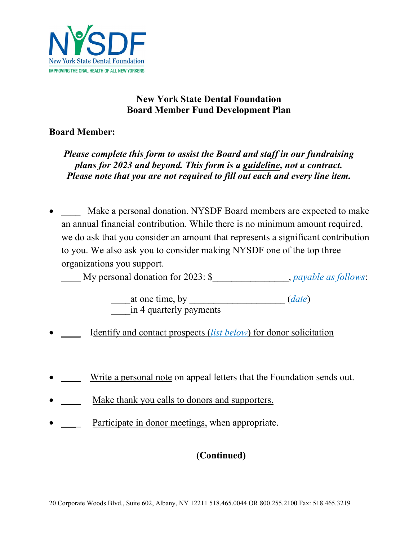

## **New York State Dental Foundation Board Member Fund Development Plan**

## **Board Member:**

*Please complete this form to assist the Board and staff in our fundraising plans for 2023 and beyond. This form is a guideline, not a contract. Please note that you are not required to fill out each and every line item.* 

Make a personal donation. NYSDF Board members are expected to make an annual financial contribution. While there is no minimum amount required, we do ask that you consider an amount that represents a significant contribution to you. We also ask you to consider making NYSDF one of the top three organizations you support.

\_\_\_\_ My personal donation for 2023: \$\_\_\_\_\_\_\_\_\_\_\_\_\_\_\_\_, *payable as follows*:

 \_\_\_\_at one time, by \_\_\_\_\_\_\_\_\_\_\_\_\_\_\_\_\_\_\_\_ (*date*) \_\_\_\_in 4 quarterly payments

- Identify and contact prospects (*list below*) for donor solicitation
- Write a personal note on appeal letters that the Foundation sends out.
- Make thank you calls to donors and supporters.
- Participate in donor meetings, when appropriate.

## **(Continued)**